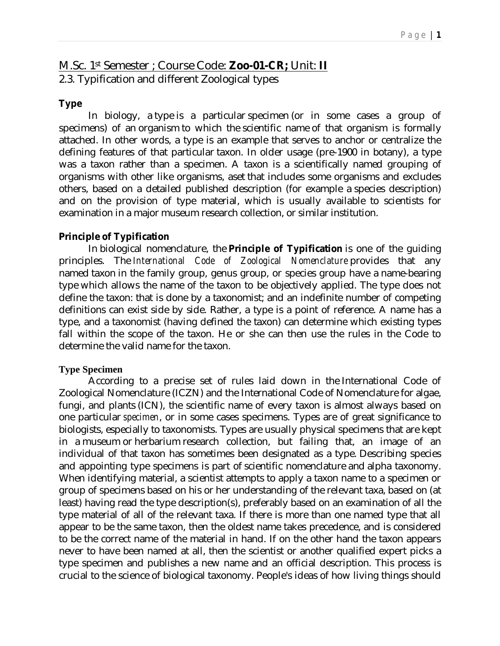# M.Sc. 1st Semester ; Course Code: **Zoo-01-CR;** Unit: **II** 2.3. Typification and different Zoological types

#### **Type**

In biology, a type is a particular specimen (or in some cases a group of specimens) of an organism to which the scientific name of that organism is formally attached. In other words, a type is an example that serves to anchor or centralize the defining features of that particular taxon. In older usage (pre-1900 in botany), a type was a taxon rather than a specimen. A taxon is a scientifically named grouping of organisms with other like organisms, aset that includes some organisms and excludes others, based on a detailed published description (for example a species description) and on the provision of type material, which is usually available to scientists for examination in a major museum research collection, or similar institution.

#### **Principle of Typification**

In biological nomenclature, the **Principle of Typification** is one of the guiding principles. The *International Code of Zoological Nomenclature* provides that any named taxon in the family group, genus group, or species group have a name-bearing type which allows the name of the taxon to be objectively applied. The type does not define the taxon: that is done by a taxonomist; and an indefinite number of competing definitions can exist side by side. Rather, a type is a point of reference. A name has a type, and a taxonomist (having defined the taxon) can determine which existing types fall within the scope of the taxon. He or she can then use the rules in the Code to determine the valid name for the taxon.

#### **Type Specimen**

According to a precise set of rules laid down in the International Code of Zoological Nomenclature (ICZN) and the International Code of Nomenclature for algae, fungi, and plants (ICN), the scientific name of every taxon is almost always based on one particular *specimen*, or in some cases specimens. Types are of great significance to biologists, especially to taxonomists. Types are usually physical specimens that are kept in a museum or herbarium research collection, but failing that, an image of an individual of that taxon has sometimes been designated as a type. Describing species and appointing type specimens is part of scientific nomenclature and alpha taxonomy. When identifying material, a scientist attempts to apply a taxon name to a specimen or group of specimens based on his or her understanding of the relevant taxa, based on (at least) having read the type description(s), preferably based on an examination of all the type material of all of the relevant taxa. If there is more than one named type that all appear to be the same taxon, then the oldest name takes precedence, and is considered to be the correct name of the material in hand. If on the other hand the taxon appears never to have been named at all, then the scientist or another qualified expert picks a type specimen and publishes a new name and an official description. This process is crucial to the science of biological taxonomy. People's ideas of how living things should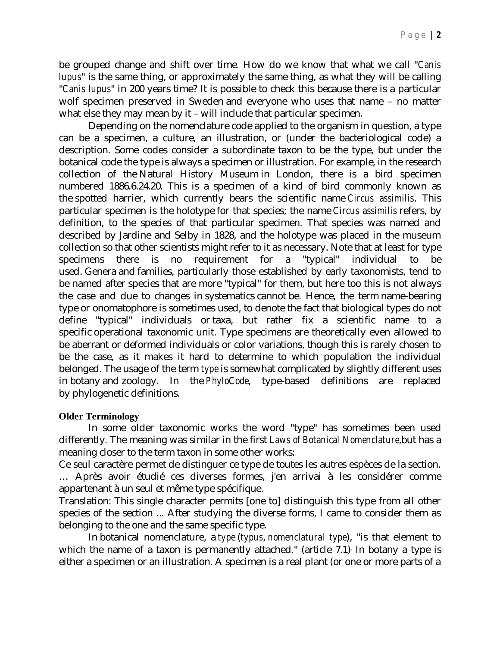be grouped change and shift over time. How do we know that what we call "*Canis lupus*" is the same thing, or approximately the same thing, as what they will be calling "*Canis lupus*" in 200 years time? It is possible to check this because there is a particular wolf specimen preserved in Sweden and everyone who uses that name – no matter what else they may mean by it – will include that particular specimen.

Depending on the nomenclature code applied to the organism in question, a type can be a specimen, a culture, an illustration, or (under the bacteriological code) a description. Some codes consider a subordinate taxon to be the type, but under the botanical code the type is always a specimen or illustration. For example, in the research collection of the Natural History Museum in London, there is a bird specimen numbered 1886.6.24.20. This is a specimen of a kind of bird commonly known as the spotted harrier, which currently bears the scientific name *Circus assimilis*. This particular specimen is the holotype for that species; the name *Circus assimilis* refers, by definition, to the species of that particular specimen. That species was named and described by Jardine and Selby in 1828, and the holotype was placed in the museum collection so that other scientists might refer to it as necessary. Note that at least for type specimens there is no requirement for a "typical" individual to be used. Genera and families, particularly those established by early taxonomists, tend to be named after species that are more "typical" for them, but here too this is not always the case and due to changes in systematics cannot be. Hence, the term name-bearing type or onomatophore is sometimes used, to denote the fact that biological types do not define "typical" individuals or taxa, but rather fix a scientific name to a specific operational taxonomic unit. Type specimens are theoretically even allowed to be aberrant or deformed individuals or color variations, though this is rarely chosen to be the case, as it makes it hard to determine to which population the individual belonged. The usage of the term *type* is somewhat complicated by slightly different uses in botany and zoology. In the *PhyloCode*, type-based definitions are replaced by phylogenetic definitions.

#### **Older Terminology**

In some older taxonomic works the word "type" has sometimes been used differently. The meaning was similar in the first *Laws of Botanical Nomenclature*,but has a meaning closer to the term taxon in some other works:

Ce seul caractère permet de distinguer ce type de toutes les autres espèces de la section. … Après avoir étudié ces diverses formes, j'en arrivai à les considérer comme appartenant à un seul et même type spécifique.

Translation: This single character permits [one to] distinguish this type from all other species of the section ... After studying the diverse forms, I came to consider them as belonging to the one and the same specific type.

In botanical nomenclature, a *type* (*typus*, *nomenclatural type*), "is that element to which the name of a taxon is permanently attached." (article 7.1) In botany a type is either a specimen or an illustration. A specimen is a real plant (or one or more parts of a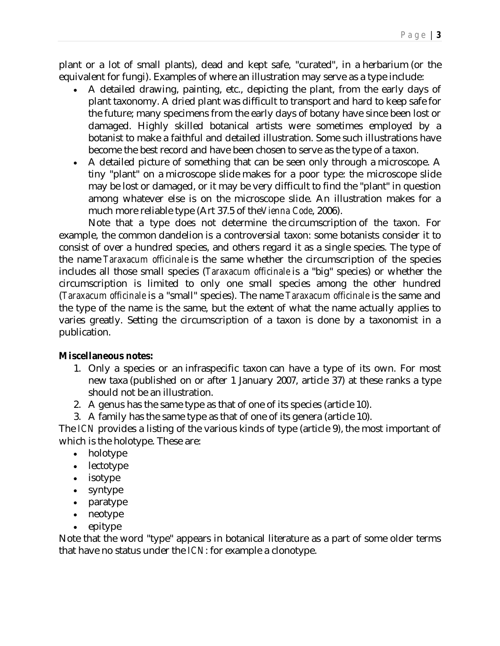plant or a lot of small plants), dead and kept safe, "curated", in a herbarium (or the equivalent for fungi). Examples of where an illustration may serve as a type include:

- A detailed drawing, painting, etc., depicting the plant, from the early days of plant taxonomy. A dried plant was difficult to transport and hard to keep safe for the future; many specimens from the early days of botany have since been lost or damaged. Highly skilled botanical artists were sometimes employed by a botanist to make a faithful and detailed illustration. Some such illustrations have become the best record and have been chosen to serve as the type of a taxon.
- A detailed picture of something that can be seen only through a microscope. A tiny "plant" on a microscope slide makes for a poor type: the microscope slide may be lost or damaged, or it may be very difficult to find the "plant" in question among whatever else is on the microscope slide. An illustration makes for a much more reliable type (Art 37.5 of the*Vienna Code*, 2006).

Note that a type does not determine the circumscription of the taxon. For example, the common dandelion is a controversial taxon: some botanists consider it to consist of over a hundred species, and others regard it as a single species. The type of the name *Taraxacum officinale* is the same whether the circumscription of the species includes all those small species (*Taraxacum officinale* is a "big" species) or whether the circumscription is limited to only one small species among the other hundred (*Taraxacum officinale* is a "small" species). The name *Taraxacum officinale* is the same and the type of the name is the same, but the extent of what the name actually applies to varies greatly. Setting the circumscription of a taxon is done by a taxonomist in a publication.

#### **Miscellaneous notes:**

- 1. Only a species or an infraspecific taxon can have a type of its own. For most new taxa (published on or after 1 January 2007, article 37) at these ranks a type should not be an illustration.
- 2. A genus has the same type as that of one of its species (article 10).
- 3. A family has the same type as that of one of its genera (article 10).

The *ICN* provides a listing of the various kinds of type (article 9), the most important of which is the holotype. These are:

- holotype
- lectotype
- isotype
- syntype
- paratype
- neotype
- epitype

Note that the word "type" appears in botanical literature as a part of some older terms that have no status under the *ICN*: for example a clonotype.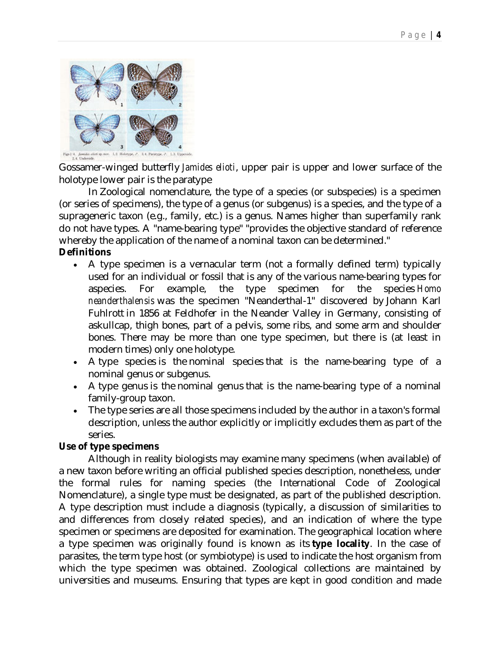

Gossamer-winged butterfly *Jamides elioti*, upper pair is upper and lower surface of the holotype lower pair is the paratype

In Zoological nomenclature, the type of a species (or subspecies) is a specimen (or series of specimens), the type of a genus (or subgenus) is a species, and the type of a suprageneric taxon (e.g., family, etc.) is a genus. Names higher than superfamily rank do not have types. A "name-bearing type" "provides the objective standard of reference whereby the application of the name of a nominal taxon can be determined."

# **Definitions**

- A type specimen is a vernacular term (not a formally defined term) typically used for an individual or fossil that is any of the various name-bearing types for aspecies. For example, the type specimen for the species *Homo neanderthalensis* was the specimen "Neanderthal-1" discovered by Johann Karl Fuhlrott in 1856 at Feldhofer in the Neander Valley in Germany, consisting of askullcap, thigh bones, part of a pelvis, some ribs, and some arm and shoulder bones. There may be more than one type specimen, but there is (at least in modern times) only one holotype.
- A type species is the nominal species that is the name-bearing type of a nominal genus or subgenus.
- A type genus is the nominal genus that is the name-bearing type of a nominal family-group taxon.
- The type series are all those specimens included by the author in a taxon's formal description, unless the author explicitly or implicitly excludes them as part of the series.

# **Use of type specimens**

Although in reality biologists may examine many specimens (when available) of a new taxon before writing an official published species description, nonetheless, under the formal rules for naming species (the International Code of Zoological Nomenclature), a single type must be designated, as part of the published description. A type description must include a diagnosis (typically, a discussion of similarities to and differences from closely related species), and an indication of where the type specimen or specimens are deposited for examination. The geographical location where a type specimen was originally found is known as its **type locality**. In the case of parasites, the term type host (or symbiotype) is used to indicate the host organism from which the type specimen was obtained. Zoological collections are maintained by universities and museums. Ensuring that types are kept in good condition and made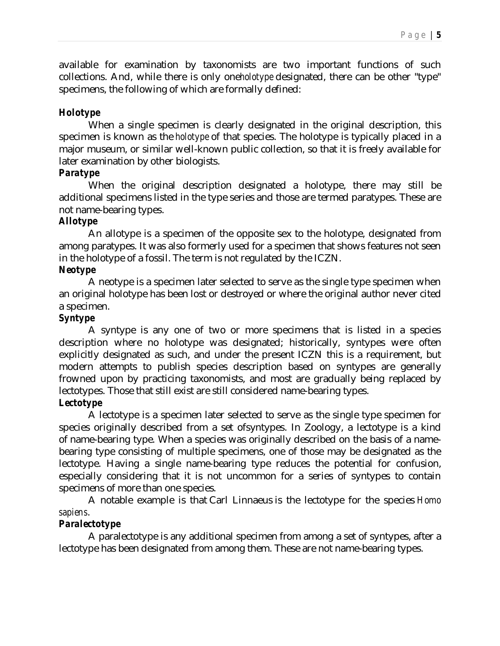available for examination by taxonomists are two important functions of such collections. And, while there is only one*holotype* designated, there can be other "type" specimens, the following of which are formally defined:

# *Holotype*

When a single specimen is clearly designated in the original description, this specimen is known as the *holotype* of that species. The holotype is typically placed in a major museum, or similar well-known public collection, so that it is freely available for later examination by other biologists.

#### *Paratype*

When the original description designated a holotype, there may still be additional specimens listed in the type series and those are termed paratypes. These are not name-bearing types.

## *Allotype*

An allotype is a specimen of the opposite sex to the holotype, designated from among paratypes. It was also formerly used for a specimen that shows features not seen in the holotype of a fossil. The term is not regulated by the ICZN.

#### *Neotype*

A neotype is a specimen later selected to serve as the single type specimen when an original holotype has been lost or destroyed or where the original author never cited a specimen.

## *Syntype*

A syntype is any one of two or more specimens that is listed in a species description where no holotype was designated; historically, syntypes were often explicitly designated as such, and under the present ICZN this is a requirement, but modern attempts to publish species description based on syntypes are generally frowned upon by practicing taxonomists, and most are gradually being replaced by lectotypes. Those that still exist are still considered name-bearing types.

#### *Lectotype*

A lectotype is a specimen later selected to serve as the single type specimen for species originally described from a set ofsyntypes. In Zoology, a lectotype is a kind of name-bearing type. When a species was originally described on the basis of a namebearing type consisting of multiple specimens, one of those may be designated as the lectotype. Having a single name-bearing type reduces the potential for confusion, especially considering that it is not uncommon for a series of syntypes to contain specimens of more than one species.

A notable example is that Carl Linnaeus is the lectotype for the species *Homo sapiens*.

#### *Paralectotype*

A paralectotype is any additional specimen from among a set of syntypes, after a lectotype has been designated from among them. These are not name-bearing types.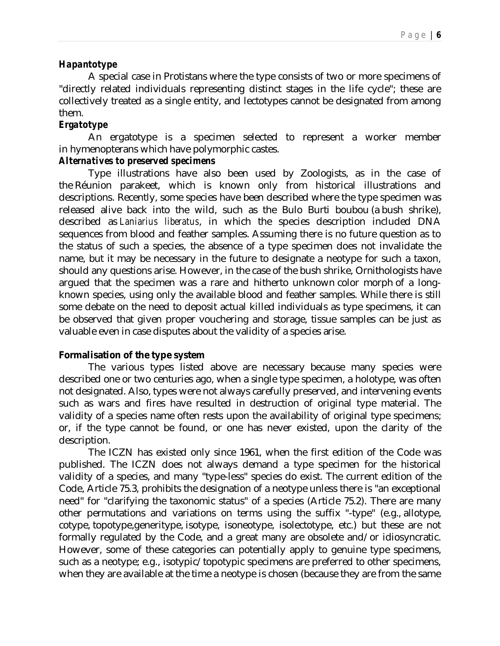#### *Hapantotype*

A special case in Protistans where the type consists of two or more specimens of "directly related individuals representing distinct stages in the life cycle"; these are collectively treated as a single entity, and lectotypes cannot be designated from among them.

## *Ergatotype*

An ergatotype is a specimen selected to represent a worker member in hymenopterans which have polymorphic castes.

## *Alternatives to preserved specimens*

Type illustrations have also been used by Zoologists, as in the case of the Réunion parakeet, which is known only from historical illustrations and descriptions. Recently, some species have been described where the type specimen was released alive back into the wild, such as the Bulo Burti boubou (a bush shrike), described as *Laniarius liberatus*, in which the species description included DNA sequences from blood and feather samples. Assuming there is no future question as to the status of such a species, the absence of a type specimen does not invalidate the name, but it may be necessary in the future to designate a neotype for such a taxon, should any questions arise. However, in the case of the bush shrike, Ornithologists have argued that the specimen was a rare and hitherto unknown color morph of a longknown species, using only the available blood and feather samples. While there is still some debate on the need to deposit actual killed individuals as type specimens, it can be observed that given proper vouchering and storage, tissue samples can be just as valuable even in case disputes about the validity of a species arise.

#### **Formalisation of the type system**

The various types listed above are necessary because many species were described one or two centuries ago, when a single type specimen, a holotype, was often not designated. Also, types were not always carefully preserved, and intervening events such as wars and fires have resulted in destruction of original type material. The validity of a species name often rests upon the availability of original type specimens; or, if the type cannot be found, or one has never existed, upon the clarity of the description.

The ICZN has existed only since 1961, when the first edition of the Code was published. The ICZN does not always demand a type specimen for the historical validity of a species, and many "type-less" species do exist. The current edition of the Code, Article 75.3, prohibits the designation of a neotype unless there is "an exceptional need" for "clarifying the taxonomic status" of a species (Article 75.2). There are many other permutations and variations on terms using the suffix "-type" (e.g., allotype, cotype, topotype,generitype, isotype, isoneotype, isolectotype, etc.) but these are not formally regulated by the Code, and a great many are obsolete and/or idiosyncratic. However, some of these categories can potentially apply to genuine type specimens, such as a neotype; e.g., isotypic/topotypic specimens are preferred to other specimens, when they are available at the time a neotype is chosen (because they are from the same